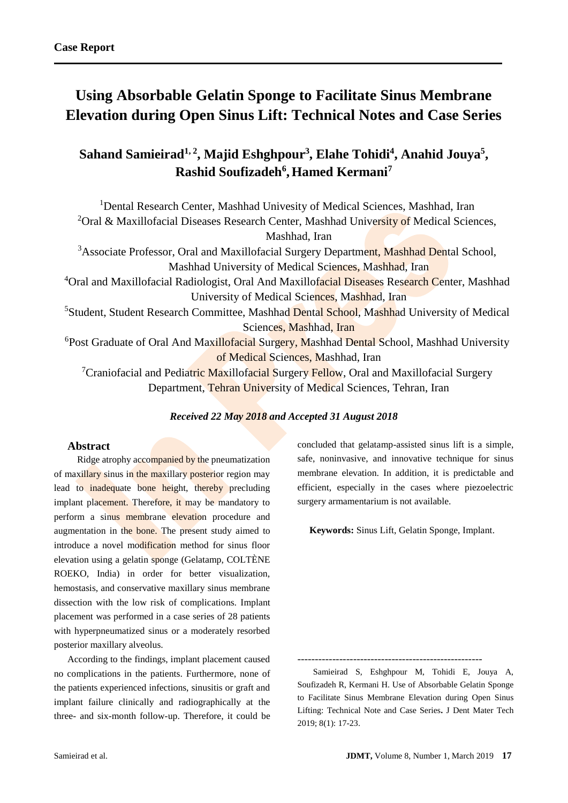# **Using Absorbable Gelatin Sponge to Facilitate Sinus Membrane Elevation during Open Sinus Lift: Technical Notes and Case Series**

**Sahand Samieirad1, 2, Majid Eshghpour<sup>3</sup> , Elahe Tohidi<sup>4</sup> , Anahid Jouya<sup>5</sup> , Rashid Soufizadeh<sup>6</sup> ,Hamed Kermani<sup>7</sup>**

<sup>1</sup>Dental Research Center, Mashhad Univesity of Medical Sciences, Mashhad, Iran <sup>2</sup>Oral & Maxillofacial Diseases Research Center, Mashhad University of Medical Sciences, Mashhad, Iran <sup>3</sup>Associate Professor, Oral and Maxillofacial Surgery Department, Mashhad Dental School, Mashhad University of Medical Sciences, Mashhad, Iran <sup>4</sup>Oral and Maxillofacial Radiologist, Oral And Maxillofacial Diseases Research Center, Mashhad University of Medical Sciences, Mashhad, Iran <sup>5</sup>Student, Student Research Committee, Mashhad Dental School, Mashhad University of Medical Sciences, Mashhad, Iran <sup>6</sup>Post Graduate of Oral And Maxillofacial Surgery, Mashhad Dental School, Mashhad University of Medical Sciences, Mashhad, Iran <sup>7</sup>Craniofacial and Pediatric Maxillofacial Surgery Fellow, Oral and Maxillofacial Surgery Department, Tehran University of Medical Sciences, Tehran, Iran

*Received 22 May 2018 and Accepted 31 August 2018*

## **Abstract**

Ridge atrophy accompanied by the pneumatization of maxillary sinus in the maxillary posterior region may lead to inadequate bone height, thereby precluding implant placement. Therefore, it may be mandatory to perform a sinus membrane elevation procedure and augmentation in the bone. The present study aimed to introduce a novel modification method for sinus floor elevation using a gelatin sponge (Gelatamp, COLTÈNE ROEKO, India) in order for better visualization, hemostasis, and conservative maxillary sinus membrane dissection with the low risk of complications. Implant placement was performed in a case series of 28 patients with hyperpneumatized sinus or a moderately resorbed posterior maxillary alveolus.

According to the findings, implant placement caused no complications in the patients. Furthermore, none of the patients experienced infections, sinusitis or graft and implant failure clinically and radiographically at the three- and six-month follow-up. Therefore, it could be concluded that gelatamp-assisted sinus lift is a simple, safe, noninvasive, and innovative technique for sinus membrane elevation. In addition, it is predictable and efficient, especially in the cases where piezoelectric surgery armamentarium is not available.

 **Keywords:** Sinus Lift, Gelatin Sponge, Implant.

-----------------------------------------------------

Samieirad S, Eshghpour M, Tohidi E, Jouya A, Soufizadeh R, Kermani H. Use of Absorbable Gelatin Sponge to Facilitate Sinus Membrane Elevation during Open Sinus Lifting: Technical Note and Case Series**.** J Dent Mater Tech 2019; 8(1): 17-23.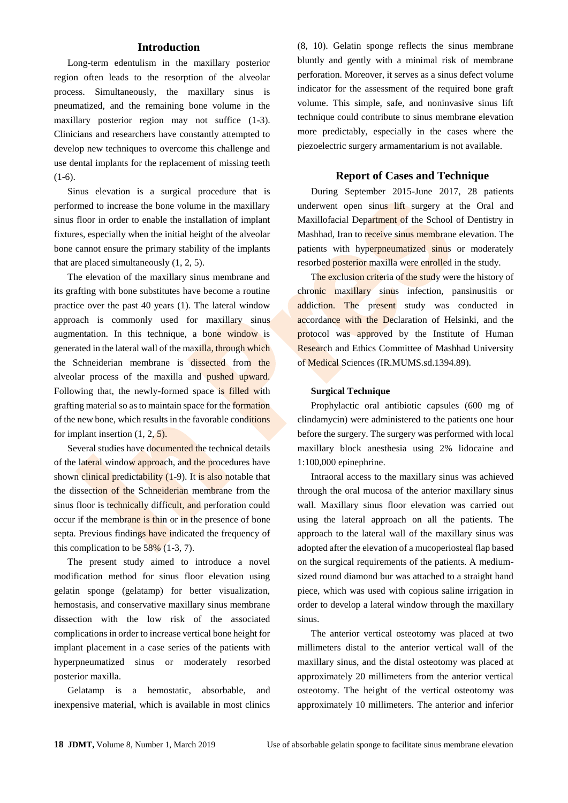## **Introduction**

Long-term edentulism in the maxillary posterior region often leads to the resorption of the alveolar process. Simultaneously, the maxillary sinus is pneumatized, and the remaining bone volume in the maxillary posterior region may not suffice (1-3). Clinicians and researchers have constantly attempted to develop new techniques to overcome this challenge and use dental implants for the replacement of missing teeth  $(1-6)$ .

Sinus elevation is a surgical procedure that is performed to increase the bone volume in the maxillary sinus floor in order to enable the installation of implant fixtures, especially when the initial height of the alveolar bone cannot ensure the primary stability of the implants that are placed simultaneously (1, 2, 5).

The elevation of the maxillary sinus membrane and its grafting with bone substitutes have become a routine practice over the past 40 years (1). The lateral window approach is commonly used for maxillary sinus augmentation. In this technique, a bone window is generated in the lateral wall of the maxilla, through which the Schneiderian membrane is dissected from the alveolar process of the maxilla and pushed upward. Following that, the newly-formed space is filled with grafting material so as to maintain space for the formation of the new bone, which results in the favorable conditions for implant insertion (1, 2, 5).

Several studies have documented the technical details of the lateral window approach, and the procedures have shown clinical predictability (1-9). It is also notable that the dissection of the Schneiderian membrane from the sinus floor is technically difficult, and perforation could occur if the membrane is thin or in the presence of bone septa. Previous findings have indicated the frequency of this complication to be  $58\%$  (1-3, 7).

The present study aimed to introduce a novel modification method for sinus floor elevation using gelatin sponge (gelatamp) for better visualization, hemostasis, and conservative maxillary sinus membrane dissection with the low risk of the associated complications in order to increase vertical bone height for implant placement in a case series of the patients with hyperpneumatized sinus or moderately resorbed posterior maxilla.

Gelatamp is a hemostatic, absorbable, and inexpensive material, which is available in most clinics (8, 10). Gelatin sponge reflects the sinus membrane bluntly and gently with a minimal risk of membrane perforation. Moreover, it serves as a sinus defect volume indicator for the assessment of the required bone graft volume. This simple, safe, and noninvasive sinus lift technique could contribute to sinus membrane elevation more predictably, especially in the cases where the piezoelectric surgery armamentarium is not available.

### **Report of Cases and Technique**

During September 2015-June 2017, 28 patients underwent open sinus lift surgery at the Oral and Maxillofacial Department of the School of Dentistry in Mashhad, Iran to receive sinus membrane elevation. The patients with hyperpneumatized sinus or moderately resorbed posterior maxilla were enrolled in the study.

The exclusion criteria of the study were the history of chronic maxillary sinus infection, pansinusitis or addiction. The present study was conducted in accordance with the Declaration of Helsinki, and the protocol was approved by the Institute of Human Research and Ethics Committee of Mashhad University of Medical Sciences (IR.MUMS.sd.1394.89).

#### **Surgical Technique**

Prophylactic oral antibiotic capsules (600 mg of clindamycin) were administered to the patients one hour before the surgery. The surgery was performed with local maxillary block anesthesia using 2% lidocaine and 1:100,000 epinephrine.

Intraoral access to the maxillary sinus was achieved through the oral mucosa of the anterior maxillary sinus wall. Maxillary sinus floor elevation was carried out using the lateral approach on all the patients. The approach to the lateral wall of the maxillary sinus was adopted after the elevation of a mucoperiosteal flap based on the surgical requirements of the patients. A mediumsized round diamond bur was attached to a straight hand piece, which was used with copious saline irrigation in order to develop a lateral window through the maxillary sinus.

The anterior vertical osteotomy was placed at two millimeters distal to the anterior vertical wall of the maxillary sinus, and the distal osteotomy was placed at approximately 20 millimeters from the anterior vertical osteotomy. The height of the vertical osteotomy was approximately 10 millimeters. The anterior and inferior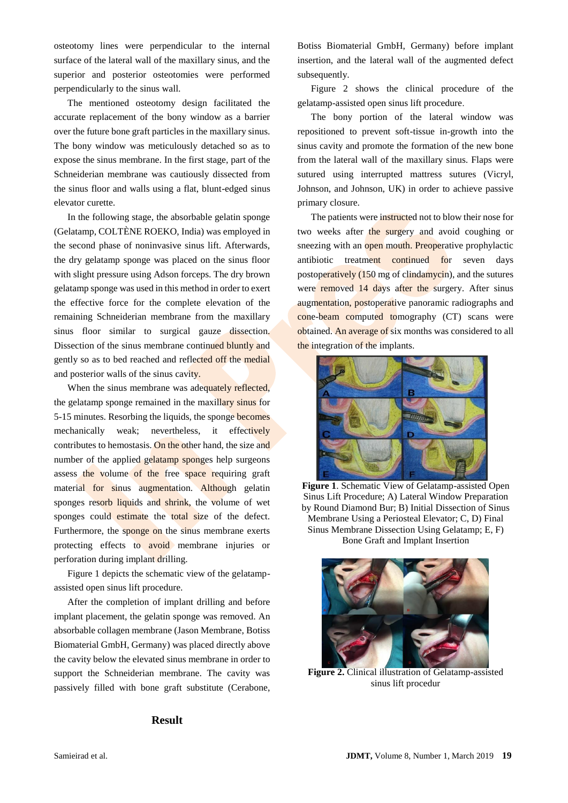osteotomy lines were perpendicular to the internal surface of the lateral wall of the maxillary sinus, and the superior and posterior osteotomies were performed perpendicularly to the sinus wall.

The mentioned osteotomy design facilitated the accurate replacement of the bony window as a barrier over the future bone graft particles in the maxillary sinus. The bony window was meticulously detached so as to expose the sinus membrane. In the first stage, part of the Schneiderian membrane was cautiously dissected from the sinus floor and walls using a flat, blunt-edged sinus elevator curette.

In the following stage, the absorbable gelatin sponge (Gelatamp, COLTÈNE ROEKO, India) was employed in the second phase of noninvasive sinus lift. Afterwards, the dry gelatamp sponge was placed on the sinus floor with slight pressure using Adson forceps. The dry brown gelatamp sponge was used in this method in order to exert the effective force for the complete elevation of the remaining Schneiderian membrane from the maxillary sinus floor similar to surgical gauze dissection. Dissection of the sinus membrane continued bluntly and gently so as to bed reached and reflected off the medial and posterior walls of the sinus cavity.

When the sinus membrane was adequately reflected, the gelatamp sponge remained in the maxillary sinus for 5-15 minutes. Resorbing the liquids, the sponge becomes mechanically weak; nevertheless, it effectively contributes to hemostasis. On the other hand, the size and number of the applied gelatamp sponges help surgeons assess the volume of the free space requiring graft material for sinus augmentation. Although gelatin sponges resorb liquids and shrink, the volume of wet sponges could estimate the total size of the defect. Furthermore, the sponge on the sinus membrane exerts protecting effects to avoid membrane injuries or perforation during implant drilling.

Figure 1 depicts the schematic view of the gelatampassisted open sinus lift procedure.

After the completion of implant drilling and before implant placement, the gelatin sponge was removed. An absorbable collagen membrane (Jason Membrane, Botiss Biomaterial GmbH, Germany) was placed directly above the cavity below the elevated sinus membrane in order to support the Schneiderian membrane. The cavity was passively filled with bone graft substitute (Cerabone,

**Result**

Botiss Biomaterial GmbH, Germany) before implant insertion, and the lateral wall of the augmented defect subsequently.

Figure 2 shows the clinical procedure of the gelatamp-assisted open sinus lift procedure.

The bony portion of the lateral window was repositioned to prevent soft-tissue in-growth into the sinus cavity and promote the formation of the new bone from the lateral wall of the maxillary sinus. Flaps were sutured using interrupted mattress sutures (Vicryl, Johnson, and Johnson, UK) in order to achieve passive primary closure.

The patients were instructed not to blow their nose for two weeks after the surgery and avoid coughing or sneezing with an open mouth. Preoperative prophylactic antibiotic treatment continued for seven days postoperatively (150 mg of clindamycin), and the sutures were removed 14 days after the surgery. After sinus augmentation, postoperative panoramic radiographs and cone-beam computed tomography (CT) scans were obtained. An average of six months was considered to all the integration of the implants.



**Figure 1**. Schematic View of Gelatamp-assisted Open Sinus Lift Procedure; A) Lateral Window Preparation by Round Diamond Bur; B) Initial Dissection of Sinus Membrane Using a Periosteal Elevator; C, D) Final Sinus Membrane Dissection Using Gelatamp; E, F) Bone Graft and Implant Insertion





**Figure 2.** Clinical illustration of Gelatamp-assisted sinus lift procedur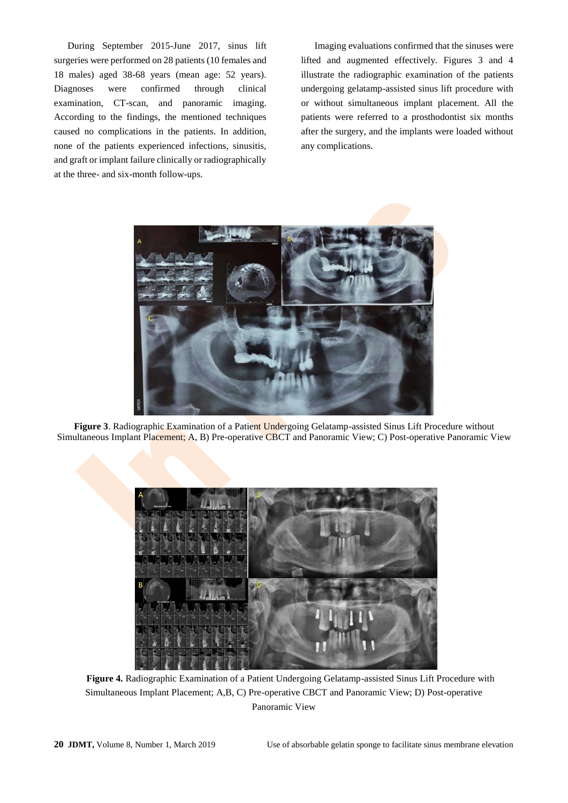During September 2015-June 2017, sinus lift surgeries were performed on 28 patients (10 females and 18 males) aged 38-68 years (mean age: 52 years). Diagnoses were confirmed through clinical examination, CT-scan, and panoramic imaging. According to the findings, the mentioned techniques caused no complications in the patients. In addition, none of the patients experienced infections, sinusitis, and graft or implant failure clinically or radiographically at the three- and six-month follow-ups.

Imaging evaluations confirmed that the sinuses were lifted and augmented effectively. Figures 3 and 4 illustrate the radiographic examination of the patients undergoing gelatamp-assisted sinus lift procedure with or without simultaneous implant placement. All the patients were referred to a prosthodontist six months after the surgery, and the implants were loaded without any complications.



**Figure 3**. Radiographic Examination of a Patient Undergoing Gelatamp-assisted Sinus Lift Procedure without Simultaneous Implant Placement; A, B) Pre-operative CBCT and Panoramic View; C) Post-operative Panoramic View



**Figure 4.** Radiographic Examination of a Patient Undergoing Gelatamp-assisted Sinus Lift Procedure with Simultaneous Implant Placement; A,B, C) Pre-operative CBCT and Panoramic View; D) Post-operative Panoramic View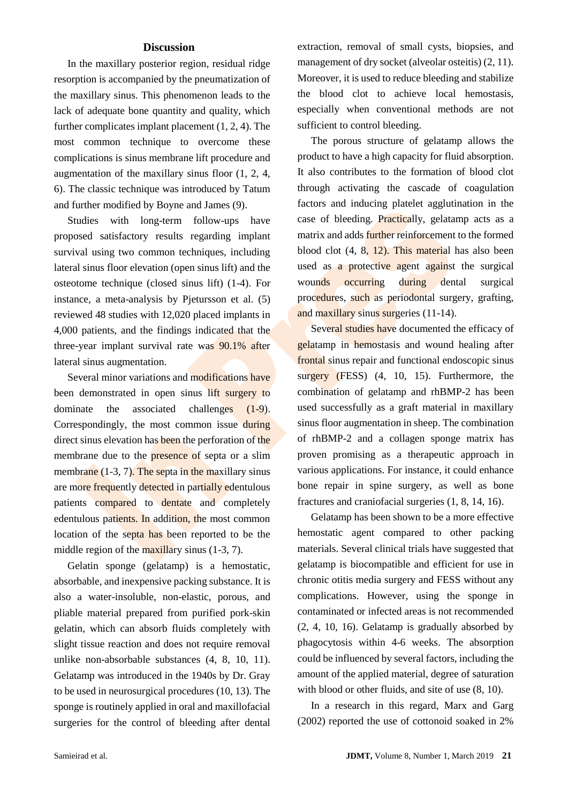# **Discussion**

In the maxillary posterior region, residual ridge resorption is accompanied by the pneumatization of the maxillary sinus. This phenomenon leads to the lack of adequate bone quantity and quality, which further complicates implant placement (1, 2, 4). The most common technique to overcome these complications is sinus membrane lift procedure and augmentation of the maxillary sinus floor (1, 2, 4, 6). The classic technique was introduced by Tatum and further modified by Boyne and James (9).

Studies with long-term follow-ups have proposed satisfactory results regarding implant survival using two common techniques, including lateral sinus floor elevation (open sinus lift) and the osteotome technique (closed sinus lift) (1-4). For instance, a meta-analysis by Pjetursson et al. (5) reviewed 48 studies with 12,020 placed implants in 4,000 patients, and the findings indicated that the three-year implant survival rate was 90.1% after lateral sinus augmentation.

Several minor variations and modifications have been demonstrated in open sinus lift surgery to dominate the associated challenges (1-9). Correspondingly, the most common issue during direct sinus elevation has been the perforation of the membrane due to the presence of septa or a slim membrane  $(1-3, 7)$ . The septa in the maxillary sinus are more frequently detected in partially edentulous patients compared to dentate and completely edentulous patients. In addition, the most common location of the septa has been reported to be the middle region of the maxillary sinus (1-3, 7).

Gelatin sponge (gelatamp) is a hemostatic, absorbable, and inexpensive packing substance. It is also a water-insoluble, non-elastic, porous, and pliable material prepared from purified pork-skin gelatin, which can absorb fluids completely with slight tissue reaction and does not require removal unlike non-absorbable substances (4, 8, 10, 11). Gelatamp was introduced in the 1940s by Dr. Gray to be used in neurosurgical procedures  $(10, 13)$ . The sponge is routinely applied in oral and maxillofacial surgeries for the control of bleeding after dental extraction, removal of small cysts, biopsies, and management of dry socket (alveolar osteitis)  $(2, 11)$ . Moreover, it is used to reduce bleeding and stabilize the blood clot to achieve local hemostasis, especially when conventional methods are not sufficient to control bleeding.

The porous structure of gelatamp allows the product to have a high capacity for fluid absorption. It also contributes to the formation of blood clot through activating the cascade of coagulation factors and inducing platelet agglutination in the case of bleeding. Practically, gelatamp acts as a matrix and adds further reinforcement to the formed blood clot (4, 8, 12). This material has also been used as a protective agent against the surgical wounds occurring during dental surgical procedures, such as periodontal surgery, grafting, and maxillary sinus surgeries (11-14).

Several studies have documented the efficacy of gelatamp in hemostasis and wound healing after frontal sinus repair and functional endoscopic sinus surgery (FESS) (4, 10, 15). Furthermore, the combination of gelatamp and rhBMP-2 has been used successfully as a graft material in maxillary sinus floor augmentation in sheep. The combination of rhBMP-2 and a collagen sponge matrix has proven promising as a therapeutic approach in various applications. For instance, it could enhance bone repair in spine surgery, as well as bone fractures and craniofacial surgeries (1, 8, 14, 16).

Gelatamp has been shown to be a more effective hemostatic agent compared to other packing materials. Several clinical trials have suggested that gelatamp is biocompatible and efficient for use in chronic otitis media surgery and FESS without any complications. However, using the sponge in contaminated or infected areas is not recommended (2, 4, 10, 16). Gelatamp is gradually absorbed by phagocytosis within 4-6 weeks. The absorption could be influenced by several factors, including the amount of the applied material, degree of saturation with blood or other fluids, and site of use (8, 10).

In a research in this regard, Marx and Garg (2002) reported the use of cottonoid soaked in 2%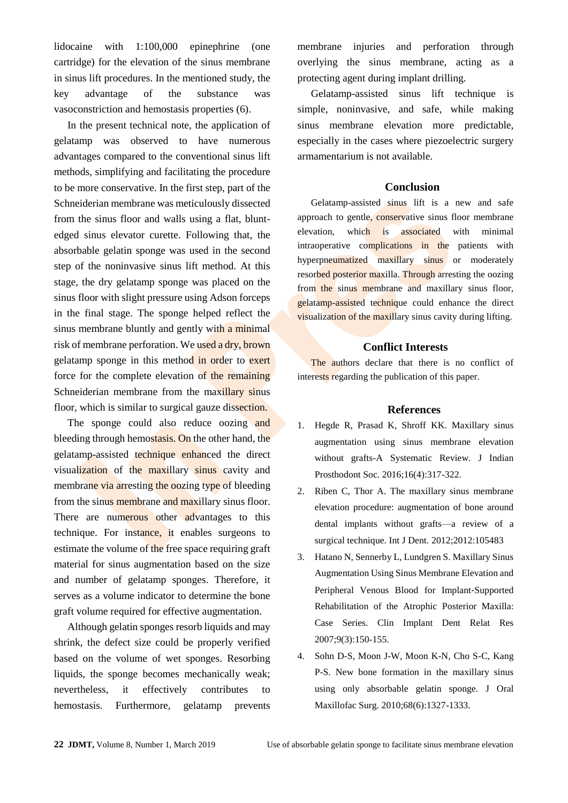lidocaine with 1:100,000 epinephrine (one cartridge) for the elevation of the sinus membrane in sinus lift procedures. In the mentioned study, the key advantage of the substance was vasoconstriction and hemostasis properties (6).

In the present technical note, the application of gelatamp was observed to have numerous advantages compared to the conventional sinus lift methods, simplifying and facilitating the procedure to be more conservative. In the first step, part of the Schneiderian membrane was meticulously dissected from the sinus floor and walls using a flat, bluntedged sinus elevator curette. Following that, the absorbable gelatin sponge was used in the second step of the noninvasive sinus lift method. At this stage, the dry gelatamp sponge was placed on the sinus floor with slight pressure using Adson forceps in the final stage. The sponge helped reflect the sinus membrane bluntly and gently with a minimal risk of membrane perforation. We used a dry, brown gelatamp sponge in this method in order to exert force for the complete elevation of the remaining Schneiderian membrane from the maxillary sinus floor, which is similar to surgical gauze dissection.

The sponge could also reduce oozing and bleeding through hemostasis. On the other hand, the gelatamp-assisted technique enhanced the direct visualization of the maxillary sinus cavity and membrane via arresting the oozing type of bleeding from the sinus membrane and maxillary sinus floor. There are numerous other advantages to this technique. For instance, it enables surgeons to estimate the volume of the free space requiring graft material for sinus augmentation based on the size and number of gelatamp sponges. Therefore, it serves as a volume indicator to determine the bone graft volume required for effective augmentation.

Although gelatin sponges resorb liquids and may shrink, the defect size could be properly verified based on the volume of wet sponges. Resorbing liquids, the sponge becomes mechanically weak; nevertheless, it effectively contributes to hemostasis. Furthermore, gelatamp prevents

membrane injuries and perforation through overlying the sinus membrane, acting as a protecting agent during implant drilling.

Gelatamp-assisted sinus lift technique is simple, noninvasive, and safe, while making sinus membrane elevation more predictable, especially in the cases where piezoelectric surgery armamentarium is not available.

## **Conclusion**

Gelatamp-assisted sinus lift is a new and safe approach to gentle, conservative sinus floor membrane elevation, which is associated with minimal intraoperative complications in the patients with hyperpneumatized maxillary sinus or moderately resorbed posterior maxilla. Through arresting the oozing from the sinus membrane and maxillary sinus floor, gelatamp-assisted technique could enhance the direct visualization of the maxillary sinus cavity during lifting.

## **Conflict Interests**

The authors declare that there is no conflict of interests regarding the publication of this paper.

## **References**

- 1. Hegde R, Prasad K, Shroff KK. Maxillary sinus augmentation using sinus membrane elevation without grafts-A Systematic Review. J Indian Prosthodont Soc. 2016;16(4):317-322.
- 2. Riben C, Thor A. The maxillary sinus membrane elevation procedure: augmentation of bone around dental implants without grafts—a review of a surgical technique. [Int J Dent.](https://www.ncbi.nlm.nih.gov/pubmed/?term=The+maxillary+sinus+membrane+elevation+procedure%3A+augmentation+of+bone+around+dental+implants+without+grafts%E2%80%94a+review+of+a+surgical+technique.) 2012;2012:105483
- 3. Hatano N, Sennerby L, Lundgren S. Maxillary Sinus Augmentation Using Sinus Membrane Elevation and Peripheral Venous Blood for Implant‐Supported Rehabilitation of the Atrophic Posterior Maxilla: Case Series. Clin Implant Dent Relat Res 2007;9(3):150-155.
- 4. Sohn D-S, Moon J-W, Moon K-N, Cho S-C, Kang P-S. New bone formation in the maxillary sinus using only absorbable gelatin sponge. J Oral Maxillofac Surg. 2010;68(6):1327-1333.